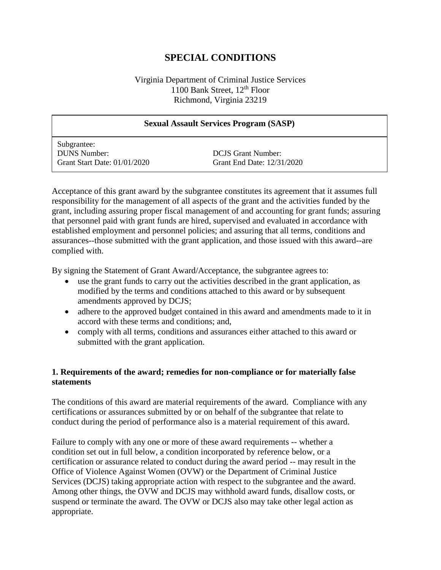# **SPECIAL CONDITIONS**

#### Virginia Department of Criminal Justice Services 1100 Bank Street, 12<sup>th</sup> Floor Richmond, Virginia 23219

| <b>Sexual Assault Services Program (SASP)</b>                             |                                                         |
|---------------------------------------------------------------------------|---------------------------------------------------------|
| Subgrantee:<br><b>DUNS Number:</b><br><b>Grant Start Date: 01/01/2020</b> | <b>DCJS</b> Grant Number:<br>Grant End Date: 12/31/2020 |

Acceptance of this grant award by the subgrantee constitutes its agreement that it assumes full responsibility for the management of all aspects of the grant and the activities funded by the grant, including assuring proper fiscal management of and accounting for grant funds; assuring that personnel paid with grant funds are hired, supervised and evaluated in accordance with established employment and personnel policies; and assuring that all terms, conditions and assurances--those submitted with the grant application, and those issued with this award--are complied with.

By signing the Statement of Grant Award/Acceptance, the subgrantee agrees to:

- use the grant funds to carry out the activities described in the grant application, as modified by the terms and conditions attached to this award or by subsequent amendments approved by DCJS;
- adhere to the approved budget contained in this award and amendments made to it in accord with these terms and conditions; and,
- comply with all terms, conditions and assurances either attached to this award or submitted with the grant application.

#### **1. Requirements of the award; remedies for non-compliance or for materially false statements**

The conditions of this award are material requirements of the award. Compliance with any certifications or assurances submitted by or on behalf of the subgrantee that relate to conduct during the period of performance also is a material requirement of this award.

Failure to comply with any one or more of these award requirements -- whether a condition set out in full below, a condition incorporated by reference below, or a certification or assurance related to conduct during the award period -- may result in the Office of Violence Against Women (OVW) or the Department of Criminal Justice Services (DCJS) taking appropriate action with respect to the subgrantee and the award. Among other things, the OVW and DCJS may withhold award funds, disallow costs, or suspend or terminate the award. The OVW or DCJS also may take other legal action as appropriate.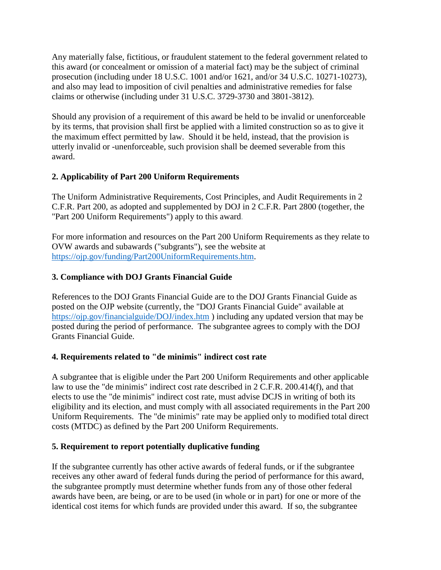Any materially false, fictitious, or fraudulent statement to the federal government related to this award (or concealment or omission of a material fact) may be the subject of criminal prosecution (including under 18 U.S.C. 1001 and/or 1621, and/or 34 U.S.C. 10271-10273), and also may lead to imposition of civil penalties and administrative remedies for false claims or otherwise (including under 31 U.S.C. 3729-3730 and 3801-3812).

Should any provision of a requirement of this award be held to be invalid or unenforceable by its terms, that provision shall first be applied with a limited construction so as to give it the maximum effect permitted by law. Should it be held, instead, that the provision is utterly invalid or -unenforceable, such provision shall be deemed severable from this award.

## **2. Applicability of Part 200 Uniform Requirements**

The Uniform Administrative Requirements, Cost Principles, and Audit Requirements in 2 C.F.R. Part 200, as adopted and supplemented by DOJ in 2 C.F.R. Part 2800 (together, the "Part 200 Uniform Requirements") apply to this award.

For more information and resources on the Part 200 Uniform Requirements as they relate to OVW awards and subawards ("subgrants"), see the website at [https://ojp.gov/funding/Part200UniformRequirements.htm.](https://ojp.gov/funding/Part200UniformRequirements.htm)

## **3. Compliance with DOJ Grants Financial Guide**

References to the DOJ Grants Financial Guide are to the DOJ Grants Financial Guide as posted on the OJP website (currently, the "DOJ Grants Financial Guide" available at <https://ojp.gov/financialguide/DOJ/index.htm> ) including any updated version that may be posted during the period of performance. The subgrantee agrees to comply with the DOJ Grants Financial Guide.

## **4. Requirements related to "de minimis" indirect cost rate**

A subgrantee that is eligible under the Part 200 Uniform Requirements and other applicable law to use the "de minimis" indirect cost rate described in 2 C.F.R. 200.414(f), and that elects to use the "de minimis" indirect cost rate, must advise DCJS in writing of both its eligibility and its election, and must comply with all associated requirements in the Part 200 Uniform Requirements. The "de minimis" rate may be applied only to modified total direct costs (MTDC) as defined by the Part 200 Uniform Requirements.

## **5. Requirement to report potentially duplicative funding**

If the subgrantee currently has other active awards of federal funds, or if the subgrantee receives any other award of federal funds during the period of performance for this award, the subgrantee promptly must determine whether funds from any of those other federal awards have been, are being, or are to be used (in whole or in part) for one or more of the identical cost items for which funds are provided under this award. If so, the subgrantee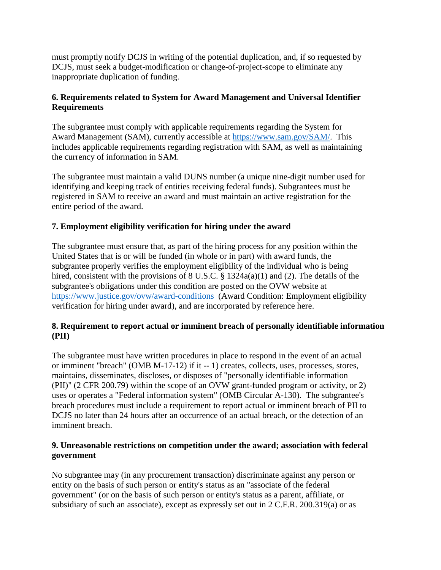must promptly notify DCJS in writing of the potential duplication, and, if so requested by DCJS, must seek a budget-modification or change-of-project-scope to eliminate any inappropriate duplication of funding.

## **6. Requirements related to System for Award Management and Universal Identifier Requirements**

The subgrantee must comply with applicable requirements regarding the System for Award Management (SAM), currently accessible at [https://www.sam.gov/SAM/.](https://www.sam.gov/SAM/) This includes applicable requirements regarding registration with SAM, as well as maintaining the currency of information in SAM.

The subgrantee must maintain a valid DUNS number (a unique nine-digit number used for identifying and keeping track of entities receiving federal funds). Subgrantees must be registered in SAM to receive an award and must maintain an active registration for the entire period of the award.

## **7. Employment eligibility verification for hiring under the award**

The subgrantee must ensure that, as part of the hiring process for any position within the United States that is or will be funded (in whole or in part) with award funds, the subgrantee properly verifies the employment eligibility of the individual who is being hired, consistent with the provisions of 8 U.S.C. § 1324a(a)(1) and (2). The details of the subgrantee's obligations under this condition are posted on the OVW website at <https://www.justice.gov/ovw/award-conditions> (Award Condition: Employment eligibility verification for hiring under award), and are incorporated by reference here.

## **8. Requirement to report actual or imminent breach of personally identifiable information (PII)**

The subgrantee must have written procedures in place to respond in the event of an actual or imminent "breach" (OMB M-17-12) if it -- 1) creates, collects, uses, processes, stores, maintains, disseminates, discloses, or disposes of "personally identifiable information (PII)" (2 CFR 200.79) within the scope of an OVW grant-funded program or activity, or 2) uses or operates a "Federal information system" (OMB Circular A-130). The subgrantee's breach procedures must include a requirement to report actual or imminent breach of PII to DCJS no later than 24 hours after an occurrence of an actual breach, or the detection of an imminent breach.

## **9. Unreasonable restrictions on competition under the award; association with federal government**

No subgrantee may (in any procurement transaction) discriminate against any person or entity on the basis of such person or entity's status as an "associate of the federal government" (or on the basis of such person or entity's status as a parent, affiliate, or subsidiary of such an associate), except as expressly set out in 2 C.F.R. 200.319(a) or as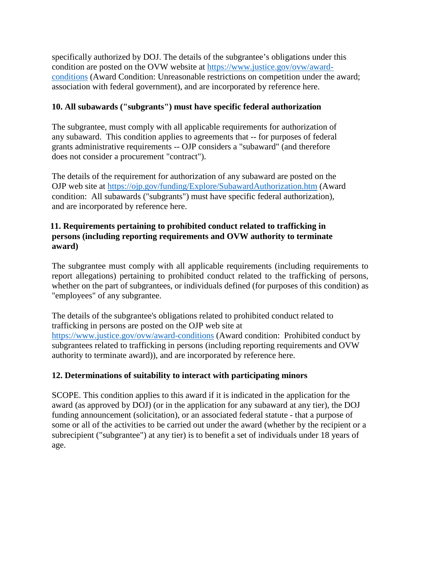specifically authorized by DOJ. The details of the subgrantee's obligations under this condition are posted on the OVW website at [https://www.justice.gov/ovw/award](https://www.justice.gov/ovw/award-conditions)[conditions](https://www.justice.gov/ovw/award-conditions) (Award Condition: Unreasonable restrictions on competition under the award; association with federal government), and are incorporated by reference here.

## **10. All subawards ("subgrants") must have specific federal authorization**

The subgrantee*,* must comply with all applicable requirements for authorization of any subaward. This condition applies to agreements that -- for purposes of federal grants administrative requirements -- OJP considers a "subaward" (and therefore does not consider a procurement "contract").

The details of the requirement for authorization of any subaward are posted on the OJP web site at<https://ojp.gov/funding/Explore/SubawardAuthorization.htm> (Award condition: All subawards ("subgrants") must have specific federal authorization), and are incorporated by reference here.

#### **11. Requirements pertaining to prohibited conduct related to trafficking in persons (including reporting requirements and OVW authority to terminate award)**

The subgrantee must comply with all applicable requirements (including requirements to report allegations) pertaining to prohibited conduct related to the trafficking of persons, whether on the part of subgrantees, or individuals defined (for purposes of this condition) as "employees" of any subgrantee.

The details of the subgrantee's obligations related to prohibited conduct related to trafficking in persons are posted on the OJP web site at <https://www.justice.gov/ovw/award-conditions> (Award condition: Prohibited conduct by subgrantees related to trafficking in persons (including reporting requirements and OVW authority to terminate award)), and are incorporated by reference here.

## **12. Determinations of suitability to interact with participating minors**

SCOPE. This condition applies to this award if it is indicated in the application for the award (as approved by DOJ) (or in the application for any subaward at any tier), the DOJ funding announcement (solicitation), or an associated federal statute - that a purpose of some or all of the activities to be carried out under the award (whether by the recipient or a subrecipient ("subgrantee") at any tier) is to benefit a set of individuals under 18 years of age.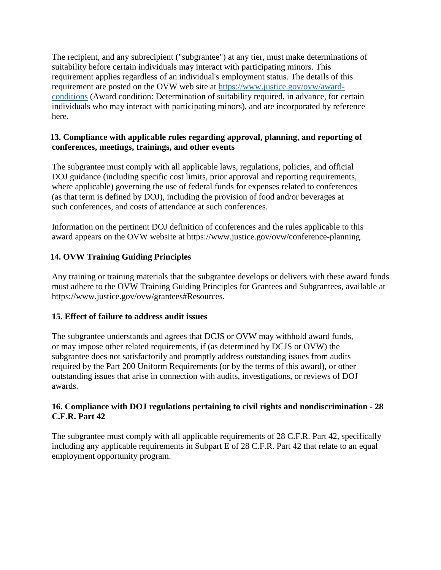The recipient, and any subrecipient ("subgrantee") at any tier, must make determinations of suitability before certain individuals may interact with participating minors. This requirement applies regardless of an individual's employment status. The details of this requirement are posted on the OVW web site at [https://www.justice.gov/ovw/award](https://www.justice.gov/ovw/award-conditions)[conditions](https://www.justice.gov/ovw/award-conditions) (Award condition: Determination of suitability required, in advance, for certain individuals who may interact with participating minors), and are incorporated by reference here.

## **13. Compliance with applicable rules regarding approval, planning, and reporting of conferences, meetings, trainings, and other events**

The subgrantee must comply with all applicable laws, regulations, policies, and official DOJ guidance (including specific cost limits, prior approval and reporting requirements, where applicable) governing the use of federal funds for expenses related to conferences (as that term is defined by DOJ), including the provision of food and/or beverages at such conferences, and costs of attendance at such conferences.

Information on the pertinent DOJ definition of conferences and the rules applicable to this award appears on the OVW website at https://www.justice.gov/ovw/conference-planning.

## **14. OVW Training Guiding Principles**

Any training or training materials that the subgrantee develops or delivers with these award funds must adhere to the OVW Training Guiding Principles for Grantees and Subgrantees, available at https://www.justice.gov/ovw/grantees#Resources.

## **15. Effect of failure to address audit issues**

The subgrantee understands and agrees that DCJS or OVW may withhold award funds, or may impose other related requirements, if (as determined by DCJS or OVW) the subgrantee does not satisfactorily and promptly address outstanding issues from audits required by the Part 200 Uniform Requirements (or by the terms of this award), or other outstanding issues that arise in connection with audits, investigations, or reviews of DOJ awards.

#### **16. Compliance with DOJ regulations pertaining to civil rights and nondiscrimination - 28 C.F.R. Part 42**

The subgrantee must comply with all applicable requirements of 28 C.F.R. Part 42, specifically including any applicable requirements in Subpart E of 28 C.F.R. Part 42 that relate to an equal employment opportunity program.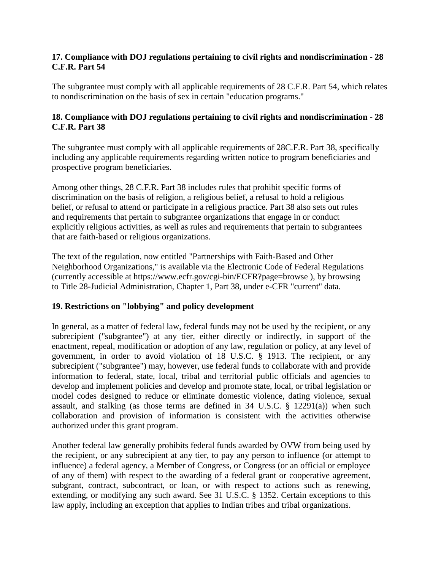## **17. Compliance with DOJ regulations pertaining to civil rights and nondiscrimination - 28 C.F.R. Part 54**

The subgrantee must comply with all applicable requirements of 28 C.F.R. Part 54, which relates to nondiscrimination on the basis of sex in certain "education programs."

## **18. Compliance with DOJ regulations pertaining to civil rights and nondiscrimination - 28 C.F.R. Part 38**

The subgrantee must comply with all applicable requirements of 28C.F.R. Part 38, specifically including any applicable requirements regarding written notice to program beneficiaries and prospective program beneficiaries.

Among other things, 28 C.F.R. Part 38 includes rules that prohibit specific forms of discrimination on the basis of religion, a religious belief, a refusal to hold a religious belief, or refusal to attend or participate in a religious practice. Part 38 also sets out rules and requirements that pertain to subgrantee organizations that engage in or conduct explicitly religious activities, as well as rules and requirements that pertain to subgrantees that are faith-based or religious organizations.

The text of the regulation, now entitled "Partnerships with Faith-Based and Other Neighborhood Organizations," is [available via the Electronic Code of Federal Regulations](http://www.ecfr.gov/cgi-)  [\(currently accessible at https://www.ecfr.gov/cgi-b](http://www.ecfr.gov/cgi-)in/ECFR?page=browse ), by browsing to Title 28-Judicial Administration, Chapter 1, Part 38, under e-CFR "current" data.

## **19. Restrictions on "lobbying" and policy development**

In general, as a matter of federal law, federal funds may not be used by the recipient, or any subrecipient ("subgrantee") at any tier, either directly or indirectly, in support of the enactment, repeal, modification or adoption of any law, regulation or policy, at any level of government, in order to avoid violation of 18 U.S.C. § 1913. The recipient, or any subrecipient ("subgrantee") may, however, use federal funds to collaborate with and provide information to federal, state, local, tribal and territorial public officials and agencies to develop and implement policies and develop and promote state, local, or tribal legislation or model codes designed to reduce or eliminate domestic violence, dating violence, sexual assault, and stalking (as those terms are defined in  $34 \text{ U.S.C. }$  §  $12291(a)$ ) when such collaboration and provision of information is consistent with the activities otherwise authorized under this grant program.

Another federal law generally prohibits federal funds awarded by OVW from being used by the recipient, or any subrecipient at any tier, to pay any person to influence (or attempt to influence) a federal agency, a Member of Congress, or Congress (or an official or employee of any of them) with respect to the awarding of a federal grant or cooperative agreement, subgrant, contract, subcontract, or loan, or with respect to actions such as renewing, extending, or modifying any such award. See 31 U.S.C. § 1352. Certain exceptions to this law apply, including an exception that applies to Indian tribes and tribal organizations.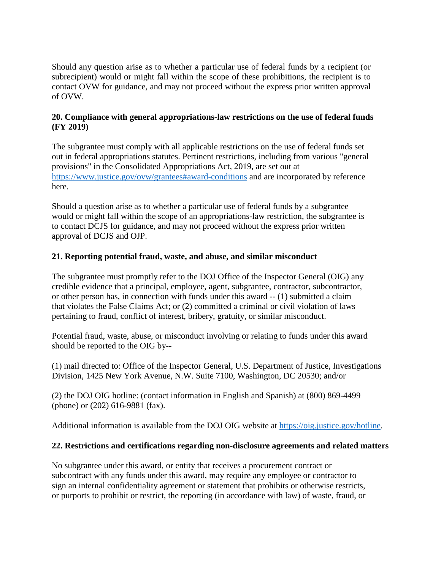Should any question arise as to whether a particular use of federal funds by a recipient (or subrecipient) would or might fall within the scope of these prohibitions, the recipient is to contact OVW for guidance, and may not proceed without the express prior written approval of OVW.

## **20. Compliance with general appropriations-law restrictions on the use of federal funds (FY 2019)**

The subgrantee must comply with all applicable restrictions on the use of federal funds set out in federal appropriations statutes. Pertinent restrictions, including from various "general provisions" in the Consolidated Appropriations Act, 2019, are set out at <https://www.justice.gov/ovw/grantees#award-conditions> and are incorporated by reference here.

Should a question arise as to whether a particular use of federal funds by a subgrantee would or might fall within the scope of an appropriations-law restriction, the subgrantee is to contact DCJS for guidance, and may not proceed without the express prior written approval of DCJS and OJP.

## **21. Reporting potential fraud, waste, and abuse, and similar misconduct**

The subgrantee must promptly refer to the DOJ Office of the Inspector General (OIG) any credible evidence that a principal, employee, agent, subgrantee, contractor, subcontractor, or other person has, in connection with funds under this award -- (1) submitted a claim that violates the False Claims Act; or (2) committed a criminal or civil violation of laws pertaining to fraud, conflict of interest, bribery, gratuity, or similar misconduct.

Potential fraud, waste, abuse, or misconduct involving or relating to funds under this award should be reported to the OIG by--

(1) mail directed to: Office of the Inspector General, U.S. Department of Justice, Investigations Division, 1425 New York Avenue, N.W. Suite 7100, Washington, DC 20530; and/or

(2) the DOJ OIG hotline: (contact information in English and Spanish) at (800) 869-4499 (phone) or (202) 616-9881 (fax).

Additional information is available from the DOJ OIG website at [https://oig.justice.gov/hotline.](https://oig.justice.gov/hotline)

## **22. Restrictions and certifications regarding non-disclosure agreements and related matters**

No subgrantee under this award, or entity that receives a procurement contract or subcontract with any funds under this award, may require any employee or contractor to sign an internal confidentiality agreement or statement that prohibits or otherwise restricts, or purports to prohibit or restrict, the reporting (in accordance with law) of waste, fraud, or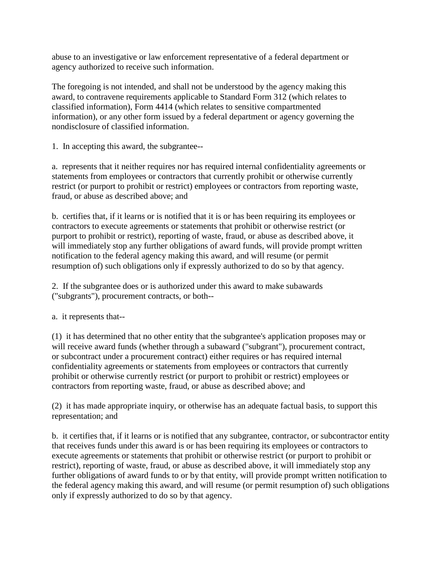abuse to an investigative or law enforcement representative of a federal department or agency authorized to receive such information.

The foregoing is not intended, and shall not be understood by the agency making this award, to contravene requirements applicable to Standard Form 312 (which relates to classified information), Form 4414 (which relates to sensitive compartmented information), or any other form issued by a federal department or agency governing the nondisclosure of classified information.

1. In accepting this award, the subgrantee--

a. represents that it neither requires nor has required internal confidentiality agreements or statements from employees or contractors that currently prohibit or otherwise currently restrict (or purport to prohibit or restrict) employees or contractors from reporting waste, fraud, or abuse as described above; and

b. certifies that, if it learns or is notified that it is or has been requiring its employees or contractors to execute agreements or statements that prohibit or otherwise restrict (or purport to prohibit or restrict), reporting of waste, fraud, or abuse as described above, it will immediately stop any further obligations of award funds, will provide prompt written notification to the federal agency making this award, and will resume (or permit resumption of) such obligations only if expressly authorized to do so by that agency.

2. If the subgrantee does or is authorized under this award to make subawards ("subgrants"), procurement contracts, or both--

a. it represents that--

(1) it has determined that no other entity that the subgrantee's application proposes may or will receive award funds (whether through a subaward ("subgrant"), procurement contract, or subcontract under a procurement contract) either requires or has required internal confidentiality agreements or statements from employees or contractors that currently prohibit or otherwise currently restrict (or purport to prohibit or restrict) employees or contractors from reporting waste, fraud, or abuse as described above; and

(2) it has made appropriate inquiry, or otherwise has an adequate factual basis, to support this representation; and

b. it certifies that, if it learns or is notified that any subgrantee, contractor, or subcontractor entity that receives funds under this award is or has been requiring its employees or contractors to execute agreements or statements that prohibit or otherwise restrict (or purport to prohibit or restrict), reporting of waste, fraud, or abuse as described above, it will immediately stop any further obligations of award funds to or by that entity, will provide prompt written notification to the federal agency making this award, and will resume (or permit resumption of) such obligations only if expressly authorized to do so by that agency.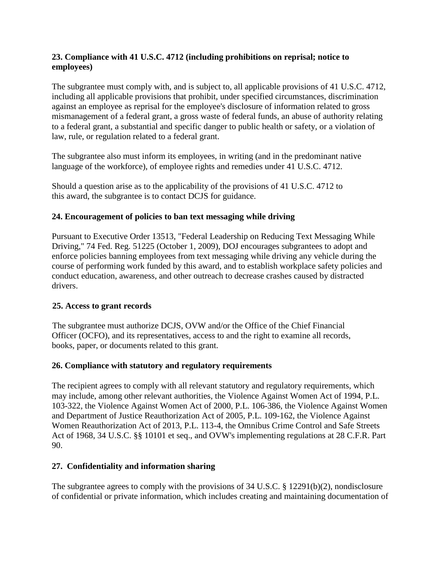## **23. Compliance with 41 U.S.C. 4712 (including prohibitions on reprisal; notice to employees)**

The subgrantee must comply with, and is subject to, all applicable provisions of 41 U.S.C. 4712, including all applicable provisions that prohibit, under specified circumstances, discrimination against an employee as reprisal for the employee's disclosure of information related to gross mismanagement of a federal grant, a gross waste of federal funds, an abuse of authority relating to a federal grant, a substantial and specific danger to public health or safety, or a violation of law, rule, or regulation related to a federal grant.

The subgrantee also must inform its employees, in writing (and in the predominant native language of the workforce), of employee rights and remedies under 41 U.S.C. 4712.

Should a question arise as to the applicability of the provisions of 41 U.S.C. 4712 to this award, the subgrantee is to contact DCJS for guidance.

## **24. Encouragement of policies to ban text messaging while driving**

Pursuant to Executive Order 13513, "Federal Leadership on Reducing Text Messaging While Driving," 74 Fed. Reg. 51225 (October 1, 2009), DOJ encourages subgrantees to adopt and enforce policies banning employees from text messaging while driving any vehicle during the course of performing work funded by this award, and to establish workplace safety policies and conduct education, awareness, and other outreach to decrease crashes caused by distracted drivers.

## **25. Access to grant records**

 The subgrantee must authorize DCJS, OVW and/or the Office of the Chief Financial Officer (OCFO), and its representatives, access to and the right to examine all records, books, paper, or documents related to this grant.

## **26. Compliance with statutory and regulatory requirements**

The recipient agrees to comply with all relevant statutory and regulatory requirements, which may include, among other relevant authorities, the Violence Against Women Act of 1994, P.L. 103-322, the Violence Against Women Act of 2000, P.L. 106-386, the Violence Against Women and Department of Justice Reauthorization Act of 2005, P.L. 109-162, the Violence Against Women Reauthorization Act of 2013, P.L. 113-4, the Omnibus Crime Control and Safe Streets Act of 1968, 34 U.S.C. §§ 10101 et seq., and OVW's implementing regulations at 28 C.F.R. Part 90.

## **27. Confidentiality and information sharing**

The subgrantee agrees to comply with the provisions of 34 U.S.C. § 12291(b)(2), nondisclosure of confidential or private information, which includes creating and maintaining documentation of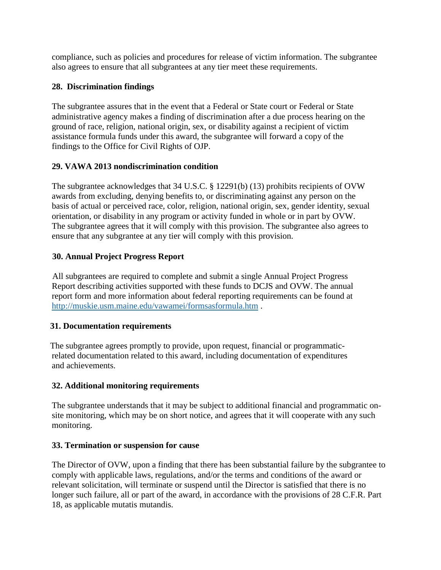compliance, such as policies and procedures for release of victim information. The subgrantee also agrees to ensure that all subgrantees at any tier meet these requirements.

## **28. Discrimination findings**

The subgrantee assures that in the event that a Federal or State court or Federal or State administrative agency makes a finding of discrimination after a due process hearing on the ground of race, religion, national origin, sex, or disability against a recipient of victim assistance formula funds under this award, the subgrantee will forward a copy of the findings to the Office for Civil Rights of OJP.

## **29. VAWA 2013 nondiscrimination condition**

The subgrantee acknowledges that 34 U.S.C. § 12291(b) (13) prohibits recipients of OVW awards from excluding, denying benefits to, or discriminating against any person on the basis of actual or perceived race, color, religion, national origin, sex, gender identity, sexual orientation, or disability in any program or activity funded in whole or in part by OVW. The subgrantee agrees that it will comply with this provision. The subgrantee also agrees to ensure that any subgrantee at any tier will comply with this provision.

## **30. Annual Project Progress Report**

 All subgrantees are required to complete and submit a single Annual Project Progress Report describing activities supported with these funds to DCJS and OVW. The annual report form and more information about federal reporting requirements can be found at <http://muskie.usm.maine.edu/vawamei/formsasformula.htm> .

## **31. Documentation requirements**

 The subgrantee agrees promptly to provide, upon request, financial or programmaticrelated documentation related to this award, including documentation of expenditures and achievements.

## **32. Additional monitoring requirements**

The subgrantee understands that it may be subject to additional financial and programmatic onsite monitoring, which may be on short notice, and agrees that it will cooperate with any such monitoring.

## **33. Termination or suspension for cause**

The Director of OVW, upon a finding that there has been substantial failure by the subgrantee to comply with applicable laws, regulations, and/or the terms and conditions of the award or relevant solicitation, will terminate or suspend until the Director is satisfied that there is no longer such failure, all or part of the award, in accordance with the provisions of 28 C.F.R. Part 18, as applicable mutatis mutandis.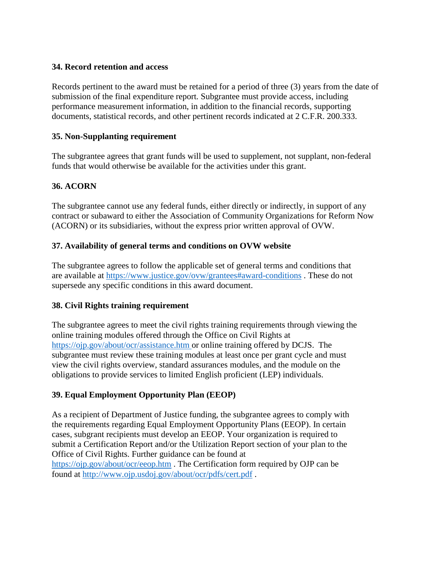### **34. Record retention and access**

Records pertinent to the award must be retained for a period of three (3) years from the date of submission of the final expenditure report*.* Subgrantee must provide access, including performance measurement information, in addition to the financial records, supporting documents, statistical records, and other pertinent records indicated at 2 C.F.R. 200.333.

#### **35. Non-Supplanting requirement**

The subgrantee agrees that grant funds will be used to supplement, not supplant, non-federal funds that would otherwise be available for the activities under this grant.

## **36. ACORN**

The subgrantee cannot use any federal funds, either directly or indirectly, in support of any contract or subaward to either the Association of Community Organizations for Reform Now (ACORN) or its subsidiaries, without the express prior written approval of OVW.

#### **37. Availability of general terms and conditions on OVW website**

The subgrantee agrees to follow the applicable set of general terms and conditions that are available at<https://www.justice.gov/ovw/grantees#award-conditions> . These do not supersede any specific conditions in this award document.

## **38. Civil Rights training requirement**

The subgrantee agrees to meet the civil rights training requirements through viewing the online training modules offered through the Office on Civil Rights at <https://ojp.gov/about/ocr/assistance.htm> or online training offered by DCJS. The subgrantee must review these training modules at least once per grant cycle and must view the civil rights overview, standard assurances modules, and the module on the obligations to provide services to limited English proficient (LEP) individuals.

## **39. Equal Employment Opportunity Plan (EEOP)**

As a recipient of Department of Justice funding, the subgrantee agrees to comply with the requirements regarding Equal Employment Opportunity Plans (EEOP). In certain cases, subgrant recipients must develop an EEOP. Your organization is required to submit a Certification Report and/or the Utilization Report section of your plan to the Office of Civil Rights. Further guidance can be found at <https://ojp.gov/about/ocr/eeop.htm> . The Certification form required by OJP can be found at<http://www.ojp.usdoj.gov/about/ocr/pdfs/cert.pdf> .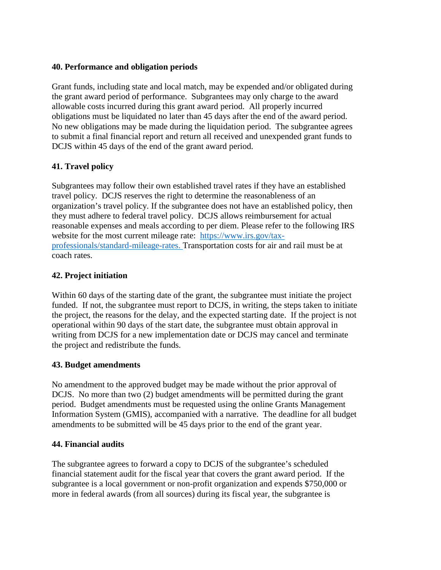### **40. Performance and obligation periods**

Grant funds, including state and local match, may be expended and/or obligated during the grant award period of performance. Subgrantees may only charge to the award allowable costs incurred during this grant award period. All properly incurred obligations must be liquidated no later than 45 days after the end of the award period. No new obligations may be made during the liquidation period. The subgrantee agrees to submit a final financial report and return all received and unexpended grant funds to DCJS within 45 days of the end of the grant award period.

## **41. Travel policy**

Subgrantees may follow their own established travel rates if they have an established travel policy. DCJS reserves the right to determine the reasonableness of an organization's travel policy. If the subgrantee does not have an established policy, then they must adhere to federal travel policy. DCJS allows reimbursement for actual reasonable expenses and meals according to per diem. Please refer to the following IRS website for the most current mileage rate: [https://www.irs.gov/tax](https://www.irs.gov/tax-professionals/standard-mileage-rates)[professionals/standard-mileage-rates.](https://www.irs.gov/tax-professionals/standard-mileage-rates) Transportation costs for air and rail must be at coach rates.

## **42. Project initiation**

Within 60 days of the starting date of the grant, the subgrantee must initiate the project funded. If not, the subgrantee must report to DCJS, in writing, the steps taken to initiate the project, the reasons for the delay, and the expected starting date. If the project is not operational within 90 days of the start date, the subgrantee must obtain approval in writing from DCJS for a new implementation date or DCJS may cancel and terminate the project and redistribute the funds.

## **43. Budget amendments**

No amendment to the approved budget may be made without the prior approval of DCJS. No more than two (2) budget amendments will be permitted during the grant period. Budget amendments must be requested using the online Grants Management Information System (GMIS), accompanied with a narrative. The deadline for all budget amendments to be submitted will be 45 days prior to the end of the grant year.

#### **44. Financial audits**

The subgrantee agrees to forward a copy to DCJS of the subgrantee's scheduled financial statement audit for the fiscal year that covers the grant award period. If the subgrantee is a local government or non-profit organization and expends \$750,000 or more in federal awards (from all sources) during its fiscal year, the subgrantee is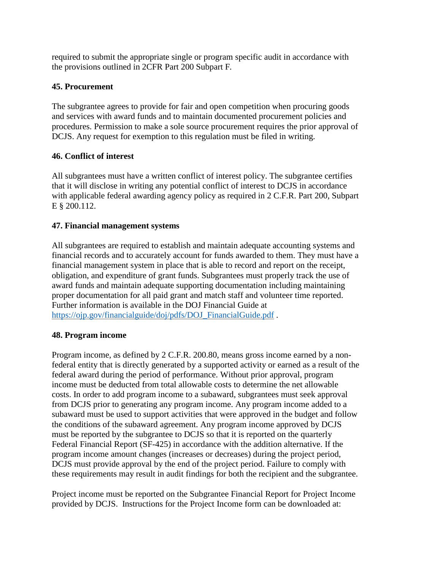required to submit the appropriate single or program specific audit in accordance with the provisions outlined in 2CFR Part 200 Subpart F*.*

## **45. Procurement**

The subgrantee agrees to provide for fair and open competition when procuring goods and services with award funds and to maintain documented procurement policies and procedures. Permission to make a sole source procurement requires the prior approval of DCJS. Any request for exemption to this regulation must be filed in writing.

## **46. Conflict of interest**

All subgrantees must have a written conflict of interest policy. The subgrantee certifies that it will disclose in writing any potential conflict of interest to DCJS in accordance with applicable federal awarding agency policy as required in 2 C.F.R. Part 200, Subpart E § 200.112.

## **47. Financial management systems**

All subgrantees are required to establish and maintain adequate accounting systems and financial records and to accurately account for funds awarded to them. They must have a financial management system in place that is able to record and report on the receipt, obligation, and expenditure of grant funds. Subgrantees must properly track the use of award funds and maintain adequate supporting documentation including maintaining proper documentation for all paid grant and match staff and volunteer time reported. Further information is available in the DOJ Financial Guide at [https://ojp.gov/financialguide/doj/pdfs/DOJ\\_FinancialGuide.pdf](https://ojp.gov/financialguide/doj/pdfs/DOJ_FinancialGuide.pdf).

## **48. Program income**

Program income, as defined by 2 C.F.R. 200.80, means gross income earned by a nonfederal entity that is directly generated by a supported activity or earned as a result of the federal award during the period of performance. Without prior approval, program income must be deducted from total allowable costs to determine the net allowable costs. In order to add program income to a subaward, subgrantees must seek approval from DCJS prior to generating any program income. Any program income added to a subaward must be used to support activities that were approved in the budget and follow the conditions of the subaward agreement. Any program income approved by DCJS must be reported by the subgrantee to DCJS so that it is reported on the quarterly Federal Financial Report (SF-425) in accordance with the addition alternative. If the program income amount changes (increases or decreases) during the project period, DCJS must provide approval by the end of the project period. Failure to comply with these requirements may result in audit findings for both the recipient and the subgrantee.

Project income must be reported on the Subgrantee Financial Report for Project Income provided by DCJS. Instructions for the Project Income form can be downloaded at: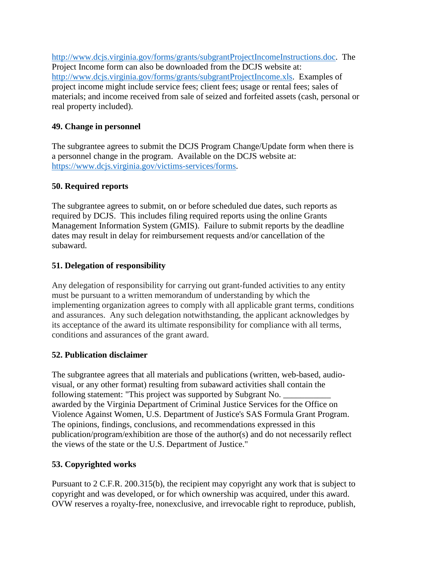[http://www.dcjs.virginia.gov/forms/grants/subgrantProjectIncomeInstructions.doc.](http://www.dcjs.virginia.gov/forms/grants/subgrantProjectIncomeInstructions.doc) The Project Income form can also be downloaded from the DCJS website at: [http://www.dcjs.virginia.gov/forms/grants/subgrantProjectIncome.xls.](http://www.dcjs.virginia.gov/forms/grants/subgrantProjectIncome.xls) Examples of project income might include service fees; client fees; usage or rental fees; sales of materials; and income received from sale of seized and forfeited assets (cash, personal or real property included).

## **49. Change in personnel**

The subgrantee agrees to submit the DCJS Program Change/Update form when there is a personnel change in the program. Available on the DCJS website at: [https://www.dcjs.virginia.gov/victims-services/forms.](https://www.dcjs.virginia.gov/victims-services/forms)

## **50. Required reports**

The subgrantee agrees to submit, on or before scheduled due dates, such reports as required by DCJS. This includes filing required reports using the online Grants Management Information System (GMIS). Failure to submit reports by the deadline dates may result in delay for reimbursement requests and/or cancellation of the subaward.

## **51. Delegation of responsibility**

Any delegation of responsibility for carrying out grant-funded activities to any entity must be pursuant to a written memorandum of understanding by which the implementing organization agrees to comply with all applicable grant terms, conditions and assurances. Any such delegation notwithstanding, the applicant acknowledges by its acceptance of the award its ultimate responsibility for compliance with all terms, conditions and assurances of the grant award.

## **52. Publication disclaimer**

The subgrantee agrees that all materials and publications (written, web-based, audiovisual, or any other format) resulting from subaward activities shall contain the following statement: "This project was supported by Subgrant No. awarded by the Virginia Department of Criminal Justice Services for the Office on Violence Against Women, U.S. Department of Justice's SAS Formula Grant Program. The opinions, findings, conclusions, and recommendations expressed in this publication/program/exhibition are those of the author(s) and do not necessarily reflect the views of the state or the U.S. Department of Justice."

## **53. Copyrighted works**

Pursuant to 2 C.F.R. 200.315(b), the recipient may copyright any work that is subject to copyright and was developed, or for which ownership was acquired, under this award. OVW reserves a royalty-free, nonexclusive, and irrevocable right to reproduce, publish,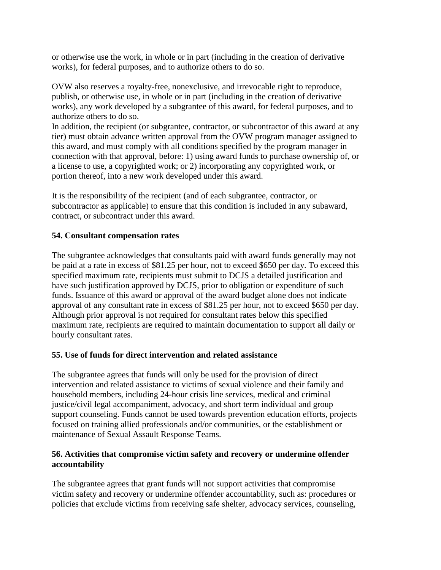or otherwise use the work, in whole or in part (including in the creation of derivative works), for federal purposes, and to authorize others to do so.

OVW also reserves a royalty-free, nonexclusive, and irrevocable right to reproduce, publish, or otherwise use, in whole or in part (including in the creation of derivative works), any work developed by a subgrantee of this award, for federal purposes, and to authorize others to do so.

In addition, the recipient (or subgrantee, contractor, or subcontractor of this award at any tier) must obtain advance written approval from the OVW program manager assigned to this award, and must comply with all conditions specified by the program manager in connection with that approval, before: 1) using award funds to purchase ownership of, or a license to use, a copyrighted work; or 2) incorporating any copyrighted work, or portion thereof, into a new work developed under this award.

It is the responsibility of the recipient (and of each subgrantee, contractor, or subcontractor as applicable) to ensure that this condition is included in any subaward, contract, or subcontract under this award.

## **54. Consultant compensation rates**

The subgrantee acknowledges that consultants paid with award funds generally may not be paid at a rate in excess of \$81.25 per hour, not to exceed \$650 per day. To exceed this specified maximum rate, recipients must submit to DCJS a detailed justification and have such justification approved by DCJS, prior to obligation or expenditure of such funds. Issuance of this award or approval of the award budget alone does not indicate approval of any consultant rate in excess of \$81.25 per hour, not to exceed \$650 per day. Although prior approval is not required for consultant rates below this specified maximum rate, recipients are required to maintain documentation to support all daily or hourly consultant rates.

## **55. Use of funds for direct intervention and related assistance**

The subgrantee agrees that funds will only be used for the provision of direct intervention and related assistance to victims of sexual violence and their family and household members, including 24-hour crisis line services, medical and criminal justice/civil legal accompaniment, advocacy, and short term individual and group support counseling. Funds cannot be used towards prevention education efforts, projects focused on training allied professionals and/or communities, or the establishment or maintenance of Sexual Assault Response Teams.

## **56. Activities that compromise victim safety and recovery or undermine offender accountability**

The subgrantee agrees that grant funds will not support activities that compromise victim safety and recovery or undermine offender accountability, such as: procedures or policies that exclude victims from receiving safe shelter, advocacy services, counseling,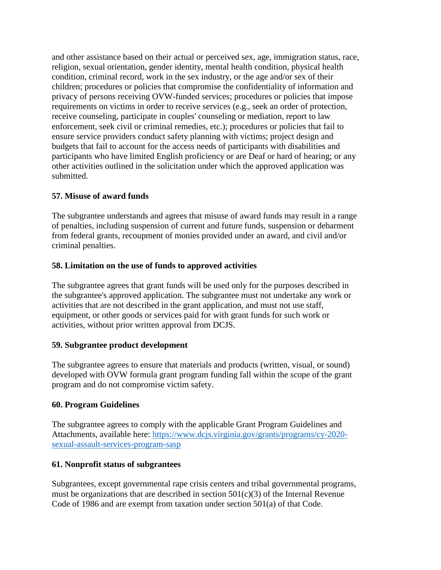and other assistance based on their actual or perceived sex, age, immigration status, race, religion, sexual orientation, gender identity, mental health condition, physical health condition, criminal record, work in the sex industry, or the age and/or sex of their children; procedures or policies that compromise the confidentiality of information and privacy of persons receiving OVW-funded services; procedures or policies that impose requirements on victims in order to receive services (e.g., seek an order of protection, receive counseling, participate in couples' counseling or mediation, report to law enforcement, seek civil or criminal remedies, etc.); procedures or policies that fail to ensure service providers conduct safety planning with victims; project design and budgets that fail to account for the access needs of participants with disabilities and participants who have limited English proficiency or are Deaf or hard of hearing; or any other activities outlined in the solicitation under which the approved application was submitted.

## **57. Misuse of award funds**

The subgrantee understands and agrees that misuse of award funds may result in a range of penalties, including suspension of current and future funds, suspension or debarment from federal grants, recoupment of monies provided under an award, and civil and/or criminal penalties.

## **58. Limitation on the use of funds to approved activities**

The subgrantee agrees that grant funds will be used only for the purposes described in the subgrantee's approved application. The subgrantee must not undertake any work or activities that are not described in the grant application, and must not use staff, equipment, or other goods or services paid for with grant funds for such work or activities, without prior written approval from DCJS.

#### **59. Subgrantee product development**

The subgrantee agrees to ensure that materials and products (written, visual, or sound) developed with OVW formula grant program funding fall within the scope of the grant program and do not compromise victim safety.

#### **60. Program Guidelines**

The subgrantee agrees to comply with the applicable Grant Program Guidelines and Attachments, available here: [https://www.dcjs.virginia.gov/grants/programs/cy-2020](https://www.dcjs.virginia.gov/grants/programs/cy-2020-sexual-assault-services-program-sasp) [sexual-assault-services-program-sasp](https://www.dcjs.virginia.gov/grants/programs/cy-2020-sexual-assault-services-program-sasp)

#### **61. Nonprofit status of subgrantees**

Subgrantees, except governmental rape crisis centers and tribal governmental programs, must be organizations that are described in section  $501(c)(3)$  of the Internal Revenue Code of 1986 and are exempt from taxation under section 501(a) of that Code.